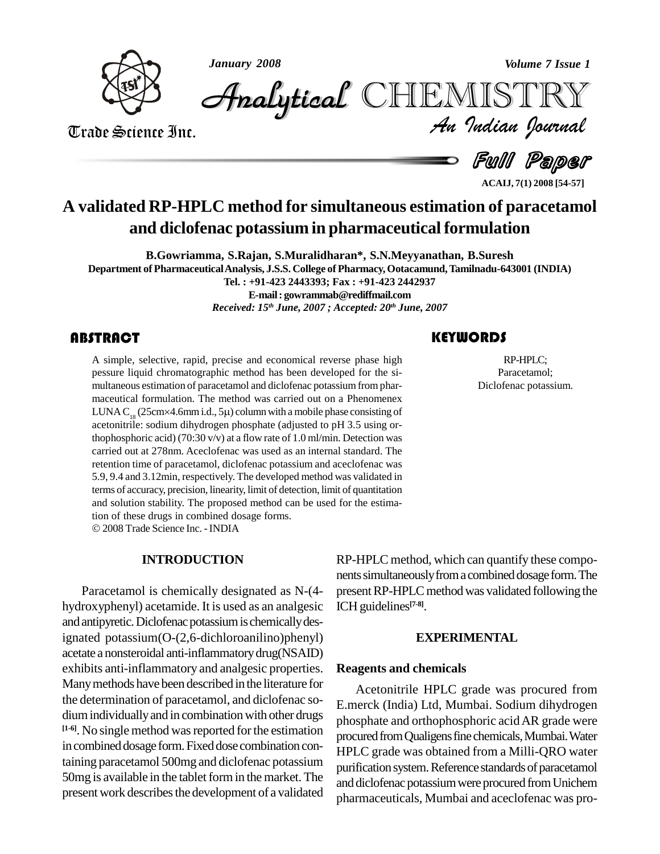

*January 2008 Volume 7 Issue 1*

*Volume 7 Issue 1*<br>IISTRY<br>Indian Iournal CHEMISTRY

Trade Science Inc. Trade Science Inc.

**Full Paper** 

**ACAIJ, 7(1) 2008 [54-57]**

# **A validated RP-HPLC method for simultaneous estimation of paracetamol and diclofenac potassium in pharmaceutical formulation**

**B.Gowriamma, S.Rajan, S.Muralidharan\*, S.N.Meyyanathan, B.Suresh Department of PharmaceuticalAnalysis, J.S.S. College of Pharmacy,Ootacamund,Tamilnadu-643001 (INDIA) Tel. : +91-423 2443393; Fax : +91-423 2442937 E-mail: [gowrammab@rediffmail.com](mailto:gowrammab@rediffmail.com)**

*Received: 15 th June, 2007 ; Accepted: 20 th June, 2007*

# **ABSTRACT**

A simple, selective, rapid, precise and economical reverse phase high pessure liquid chromatographic method has been developed for the simultaneous estimation of paracetamol and diclofenac potassium from phar-A simple, selective, rapid, precise and economical reverse phase high pessure liquid chromatographic method has been developed for the si maceutical formulation. The method was carried out on a Phenomenex LUNA C<sub>18</sub> (25cm×4.6mm i.d., 5µ) column with a mobile phase consisting of acetonitrile: sodium dihydrogen phosphate (adjusted to pH 3.5 using orthophosphoric acid) (70:30 v/v) at a flow rate of 1.0 ml/min. Detection was carried out at 278nm. Aceclofenac was used as an internal standard. The retention time of paracetamol, diclofenac potassium and aceclofenac was 5.9, 9.4 and 3.12min, respectively. The developed method was validated in terms of accuracy, precision, linearity, limit of detection, limit of quantitation and solution stability. The proposed method can be used for the estima-tion of these drugs in combined dosage forms. 2008Trade Science Inc. -INDIA

# **INTRODUCTION**

Paracetamol is chemically designated as N-(4 hydroxyphenyl) acetamide. It is used as an analgesic and antipyretic. Diclofenac potassium is chemically designated potassium(O-(2,6-dichloroanilino)phenyl) acetate a nonsteroidal anti-inflammatorydrug(NSAID) exhibits anti-inflammatory and analgesic properties. Manymethods have been described in the literature for the determination of paracetamol, and diclofenac so dium individually and in combination with other drugs **[1-6]**. No single method wasreported forthe estimation in combined dosage form. Fixed dose combination containing paracetamol 500mg and diclofenac potassium 50mg is available in the tablet form in the market. The present work describes the development of a validated

RP-HPLC method, which can quantify these compo nents simultaneously from a combined dosage form. The present RP-HPLC method was validated following the ICH guidelines **[7-8]**.

### **EXPERIMENTAL**

#### **Reagents and chemicals**

Acetonitrile HPLC grade was procured from E.merck (India) Ltd, Mumbai. Sodium dihydrogen phosphate and orthophosphoric acidAR grade were procured from Qualigens fine chemicals, Mumbai. Water HPLC grade was obtained from a Milli-QRO water purification system. Reference standards of paracetamol and diclofenac potassium were procured from Unichem pharmaceuticals, Mumbai and aceclofenac was pro-

RP-HPLC;<br>Paracetamol;<br>Diclofenac potassium. RP-HPLC; Paracetamol;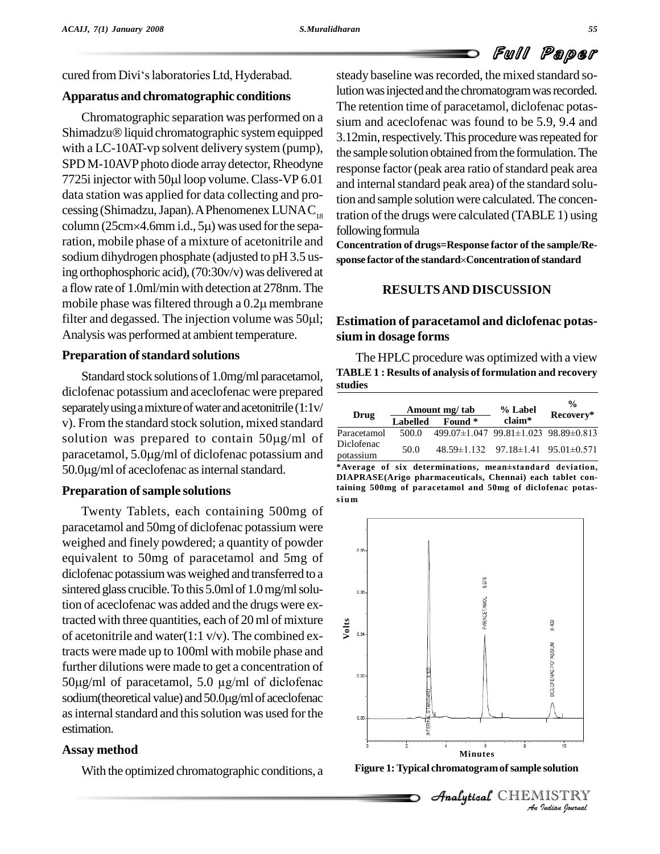# Full Paper

cured from Divi's laboratories Ltd, Hyderabad.

# **Apparatus and chromatographic conditions**

Chromatographic separation was performed on a Shimadzu<sup>®</sup> liquid chromatographic system equipped with a LC-10AT-vp solvent delivery system (pump),<br>SPD M-10AVP photo diode array detector, Rheodyne<br>7725i injector with 50µl loop volume. Class-VP 6.01 and int SPD M-10AVP photo diode array detector, Rheodyne data station was applied for data collecting and pro cessing (Shimadzu, Japan). A Phenomenex LUNAC<sub>18</sub> tra data station was applied for data collecting and processing (Shimadzu, Japan). A Phenomenex LUNAC<sub>18</sub><br>column (25cm×4.6mm i.d., 5µ) was used for the separation, mobile phase of a mixture of acetonitrile and sodium dihydrogen phosphate (adjusted to pH 3.5 us-<br>sponse factor of the standard  $\alpha$ Concentration of standard ing orthophosphoric acid),(70:30v/v) was delivered at a flow rate of 1.0ml/min with detection at 278nm.The ing orthophosphoric acid), (70:30v/v) was delivered at<br>a flow rate of 1.0ml/min with detection at 278nm. The<br>mobile phase was filtered through a 0.2µ membrane a flow rate of 1.0ml/min with detection at 278nm. The<br>mobile phase was filtered through a  $0.2\mu$  membrane<br>filter and degassed. The injection volume was 50 $\mu$ l; Es Analysis was performed at ambient temperature.

# **Preparation of standard solutions**

Standard stock solutions of 1.0mg/ml paracetamol, diclofenac potassium and aceclofenac were prepared separately using a mixture of water and acetonitrile (1:1v/<br>
v). From the standard stock solution, mixed standard  $\frac{1}{\text{Para}}$ <br>
solution was prepared to contain 50µg/ml of  $\frac{1}{\text{Dicl}}$ v). From the standard stock solution, mixed standard v). From the standard stock solution, mixed standard<br>solution was prepared to contain  $50\mu g/ml$  of  $\frac{\text{Paracetan}}{\text{Diclofena}}$ <br>paracetamol,  $5.0\mu g/ml$  of diclofenac potassium and potassium solution was prepared to contain 50µg/ml<br>paracetamol, 5.0µg/ml of diclofenac potassium a<br>50.0µg/ml of aceclofenac as internal standard.

# **Preparation ofsample solutions**

Twenty Tablets, each containing 500mg of paracetamol and 50mg of diclofenac potassium were weighed and finely powdered; a quantity of powder equivalent to 50mg of paracetamol and 5mg of diclofenac potassiumwasweighed and transferred to a sintered glass crucible. To this  $5.0<sup>th</sup>$  of  $1.0<sup>th</sup>$  mg/ml solution of aceclofenac was added and the drugs were extracted with three quantities, each of 20ml of mixture of acetonitrile and water(1:1 v/v). The combined extracts were made up to 100ml with mobile phase and further dilutions were made to get a concentration of tracts were made up to 100ml with mobile phase and<br>further dilutions were made to get a concentration of<br>50µg/ml of paracetamol, 5.0 µg/ml of diclofenac  $50\mu\text{g/ml}$  of paracetamol,  $5.0 \mu\text{g/ml}$  of diclofenac sodium(theoretical value) and  $50.0\mu\text{g/ml}$  of aceclofenac as internal standard and this solution was used for the estimation.

# **Assay method**

With the optimized chromatographic conditions, a

steady baseline was recorded, the mixed standard solution was injected and the chromatogram was recorded. The retention time of paracetamol, diclofenac potas sium and aceclofenac was found to be 5.9, 9.4 and 3.12min, respectively. This procedure was repeated for the sample solution obtained from the formulation. The response factor (peak area ratio of standard peak area and internal standard peak area) of the standard solution and sample solution were calculated.The concentration of the drugs were calculated (TABLE 1) using following formula

**Concentration of drugs=Response factor of the sample/Re** tollowing tormula<br>Concentration of drugs=Response factor of the sample/Re-<br>sponse factor of the standard×Concentration of standard

# **RESULTSAND DISCUSSION**

# **Estimation of paracetamol and diclofenac potas sium in dosage forms**

The HPLC procedure was optimized with a view **TABLE 1 : Results of analysis of formulation and recovery studies**

|                         |                 | Amount mg/ tab                                     | % Label | $\frac{0}{0}$<br>Recovery* |  |
|-------------------------|-----------------|----------------------------------------------------|---------|----------------------------|--|
| Drug                    | <b>Labelled</b> | Found *                                            | claim*  |                            |  |
| Paracetamol             | 500.0           | $499.07\pm1.047$ 99.81 $\pm1.023$ 98.89 $\pm0.813$ |         |                            |  |
| Diclofenac<br>potassium | 50.0            | $48.59\pm1.132$ $97.18\pm1.41$ $95.01\pm0.571$     |         |                            |  |

**\*Average of six determinations, mean±standard deviation, DIAPRASE(Arigo pharmaceuticals, Chennai) each tablet containing 500mg of paracetamol and 50mg of diclofenac potas si um**



**Figure 1:Typical chromatogramofsample solution**

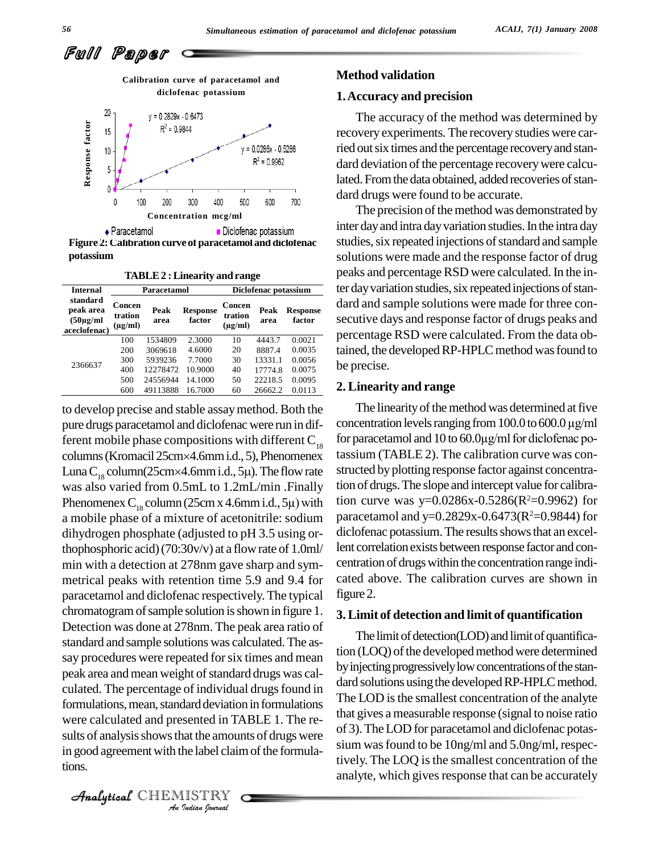Full Paper



**Figure 2:Calibration curve of paracetamol and diclofenac potassium**

| <b>Internal</b>                                         | Paracetamol                       |              |                           | Diclofenac potassium              |              |                           |
|---------------------------------------------------------|-----------------------------------|--------------|---------------------------|-----------------------------------|--------------|---------------------------|
| standard<br>peak area<br>$(50\mu g/ml)$<br>aceclofenac) | Concen<br>tration<br>$(\mu g/ml)$ | Peak<br>area | <b>Response</b><br>factor | Concen<br>tration<br>$(\mu g/ml)$ | Peak<br>area | <b>Response</b><br>factor |
| 2366637                                                 | 100                               | 1534809      | 2.3000                    | 10                                | 4443.7       | 0.0021                    |
|                                                         | 200                               | 3069618      | 4.6000                    | 20                                | 8887.4       | 0.0035                    |
|                                                         | 300                               | 5939236      | 7.7000                    | 30                                | 13331.1      | 0.0056                    |
|                                                         | 400                               | 12278472     | 10.9000                   | 40                                | 17774.8      | 0.0075                    |
|                                                         | 500                               | 24556944     | 14.1000                   | 50                                | 22218.5      | 0.0095                    |
|                                                         | 600                               | 49113888     | 16.7000                   | 60                                | 26662.2      | 0.0113                    |

were calculated and presented in TABLE 1. The re-*In* TA<br>*Indian Indian*<br>*IISTRY*<br>*Indian Journal* to develop precise and stable assaymethod. Both the pure drugs paracetamol and diclofenac were run in different mobile phase compositions with different  $C_{18}$  for pure drugs paracetamol and diclofenac were run in dif-<br>ferent mobile phase compositions with different  $C_{18}$  for para<br>columns (Kromacil 25cm×4.6mm i.d., 5), Phenomenex tassium ferent mobile phase compositions with different  $C_{18}$  for parcolumns (Kromacil 25cm×4.6mm i.d., 5). Phenomenex tassiu Luna  $C_{18}$  column(25cm×4.6mm i.d., 5µ). The flow rate struct was also varied from 0.5mL to 1.2mL/min .Finally Luna C<sub>18</sub> column(25cm×4.6mm i.d., 5µ). The flow rate<br>was also varied from 0.5mL to 1.2mL/min .Finally<br>Phenomenex C<sub>18</sub> column (25cm x 4.6mm i.d., 5µ) with a mobile phase of a mixture of acetonitrile: sodium dihydrogen phosphate (adjusted to pH 3.5 using orthophosphoric acid)(70:30v/v) at a flowrate of 1.0ml/ min with a detection at 278nm gave sharp and sym metrical peaks with retention time 5.9 and 9.4 for paracetamol and diclofenac respectively.The typical chromatogram of sample solution is shown in figure 1. Detection was done at 278nm. The peak area ratio of standard and sample solutions was calculated.The as say procedures were repeated for six times and mean peak area and mean weight of standard drugs was calculated. The percentage of individual drugs found in formulations, mean, standard deviation in formulations sults of analysis shows that the amounts of drugs were in good agreement with the label claim of the formulations.

CHEMISTRY

#### **Method validation**

#### **1.Accuracy and precision**

The accuracy of the method was determined by recovery experiments. The recoverystudies were carried out six times and the percentage recovery and standard deviation of the percentage recovery were calculated. From the data obtained, added recoveries of standard drugs were found to be accurate.

The precision of the method was demonstrated by inter day and intra day variation studies. In the intra day studies, six repeated injections of standard and sample solutions were made and the response factor of drug peaks and percentage RSD were calculated. In the inter day variation studies, six repeated injections of standard and sample solutions were made for three con secutive days and response factor of drugs peaks and **factor**  $\frac{0.0021}{0.0021}$  percentage RSD were calculated. From the data ob-0.0035 tained, the developed RP-HPLC method was found to  $\frac{0.0056}{0.0075}$  be precise.

#### **2. Linearity and range**

The linearity of the method was determined at five concentration levels ranging from  $100.0$  to  $600.0 \,\mu$ g/ml for paracetamol and  $10$  to  $60.0\mu\text{g/ml}$  for diclofenac potassium (TABLE 2). The calibration curve was con structed by plotting response factor against concentration of drugs.The slope and intercept value for calibration curve was y= $0.0286x - 0.5286(R^2=0.9962)$  for paracetamol and y= $0.2829x-0.6473(R^2=0.9844)$  for diclofenac potassium. The results shows that an excellent correlation exists between response factor and concentration of drugs within the concentration range indicated above. The calibration curves are shown in figure 2.

#### **3.Limit of detection and limit of quantification**

The limit of detection(LOD) and limit of quantification (LOQ) of the developed method were determined by injecting progressively low concentrations of the standard solutions using the developed RP-HPLC method. The LOD is the smallest concentration of the analyte that gives a measurable response (signal to noise ratio of 3).TheLOD for paracetamol and diclofenac potas sium wasfound to be 10ng/ml and 5.0ng/ml, respectively. The LOQ is the smallest concentration of the analyte, which gives response that can be accurately